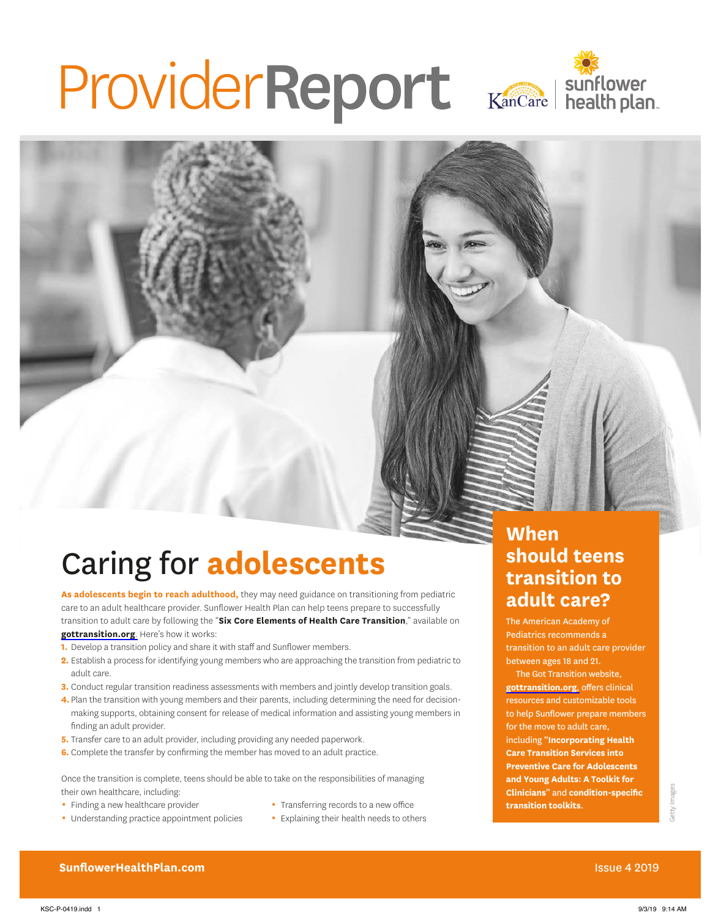# ProviderReport Kancare | sunflower



## Caring for **adolescents**

**As adolescents begin to reach adulthood,** they may need guidance on transitioning from pediatric care to an adult healthcare provider. Sunflower Health Plan can help teens prepare to successfully transition to adult care by following the "**Six Core Elements of Health Care Transition**," available on **[gottransition.org](https://www.gottransition.org)**. Here's how it works:

- **1.** Develop a transition policy and share it with staff and Sunflower members.
- **2.** Establish a process for identifying young members who are approaching the transition from pediatric to adult care.
- **3.** Conduct regular transition readiness assessments with members and jointly develop transition goals.
- **4.** Plan the transition with young members and their parents, including determining the need for decisionmaking supports, obtaining consent for release of medical information and assisting young members in finding an adult provider.
- **5.** Transfer care to an adult provider, including providing any needed paperwork.
- **6.** Complete the transfer by confirming the member has moved to an adult practice.

Once the transition is complete, teens should be able to take on the responsibilities of managing their own healthcare, including:

- Finding a new healthcare provider
- Transferring records to a new office
- Understanding practice appointment policies
- 
- **Explaining their health needs to others**

#### **When should teens transition to adult care?**

The American Academy of Pediatrics recommends a transition to an adult care provider between ages 18 and 21.

The Got Transition website, **[gottransition.org](https://www.gottransition.org)**, offers clinical resources and customizable tools to help Sunflower prepare members for the move to adult care, including "**Incorporating Health Care Transition Services into Preventive Care for Adolescents and Young Adults: A Toolkit for Clinicians**" and **condition-specific transition toolkits**.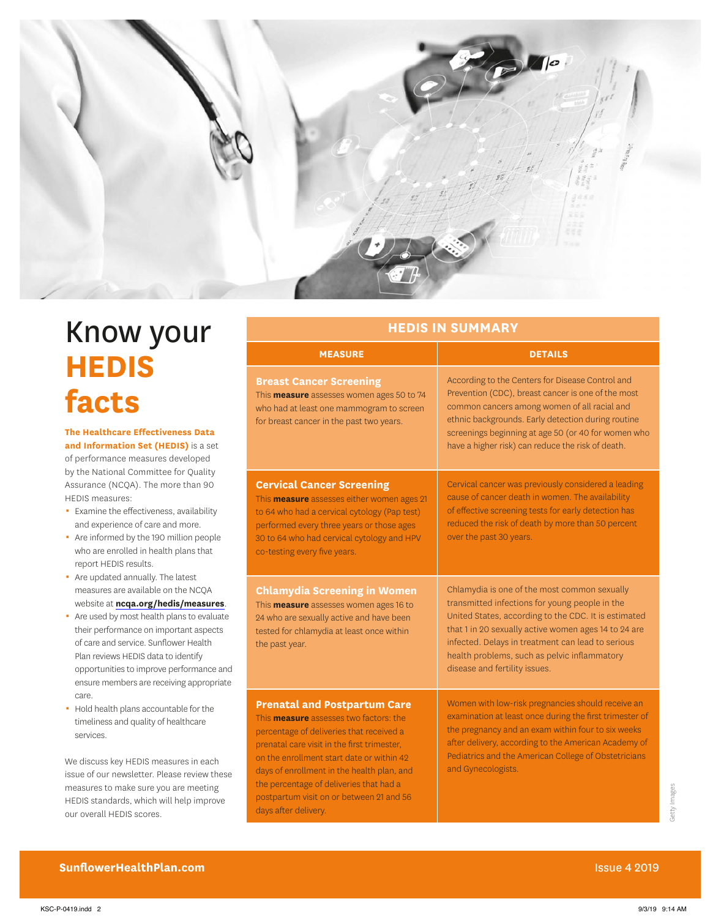

## Know your **HEDIS facts**

**The Healthcare Effectiveness Data and Information Set (HEDIS)** is a set of performance measures developed by the National Committee for Quality Assurance (NCQA). The more than 90 HEDIS measures:

- 0 Examine the effectiveness, availability and experience of care and more.
- Are informed by the 190 million people who are enrolled in health plans that report HEDIS results.
- Are updated annually. The latest measures are available on the NCQA website at **[ncqa.org/hedis/measures](https://www.ncqa.org/hedis/measures)**.
- Are used by most health plans to evaluate their performance on important aspects of care and service. Sunflower Health Plan reviews HEDIS data to identify opportunities to improve performance and ensure members are receiving appropriate care.
- Hold health plans accountable for the timeliness and quality of healthcare services.

We discuss key HEDIS measures in each issue of our newsletter. Please review these measures to make sure you are meeting HEDIS standards, which will help improve our overall HEDIS scores.

| <b>HEDIS IN SUMMARY</b> |  |  |  |
|-------------------------|--|--|--|
|                         |  |  |  |

| <b>MEASURE</b>                                                                                                                                                                                                                                                                                                                                                                            | <b>DETAILS</b>                                                                                                                                                                                                                                                                                                                                       |
|-------------------------------------------------------------------------------------------------------------------------------------------------------------------------------------------------------------------------------------------------------------------------------------------------------------------------------------------------------------------------------------------|------------------------------------------------------------------------------------------------------------------------------------------------------------------------------------------------------------------------------------------------------------------------------------------------------------------------------------------------------|
| <b>Breast Cancer Screening</b><br>This <b>measure</b> assesses women ages 50 to 74<br>who had at least one mammogram to screen<br>for breast cancer in the past two years.                                                                                                                                                                                                                | According to the Centers for Disease Control and<br>Prevention (CDC), breast cancer is one of the most<br>common cancers among women of all racial and<br>ethnic backgrounds. Early detection during routine<br>screenings beginning at age 50 (or 40 for women who<br>have a higher risk) can reduce the risk of death.                             |
| <b>Cervical Cancer Screening</b><br>This <b>measure</b> assesses either women ages 21<br>to 64 who had a cervical cytology (Pap test)<br>performed every three years or those ages<br>30 to 64 who had cervical cytology and HPV<br>co-testing every five years.                                                                                                                          | Cervical cancer was previously considered a leading<br>cause of cancer death in women. The availability<br>of effective screening tests for early detection has<br>reduced the risk of death by more than 50 percent<br>over the past 30 years.                                                                                                      |
| <b>Chlamydia Screening in Women</b><br>This <b>measure</b> assesses women ages 16 to<br>24 who are sexually active and have been<br>tested for chlamydia at least once within<br>the past year.                                                                                                                                                                                           | Chlamydia is one of the most common sexually<br>transmitted infections for young people in the<br>United States, according to the CDC. It is estimated<br>that 1 in 20 sexually active women ages 14 to 24 are<br>infected. Delays in treatment can lead to serious<br>health problems, such as pelvic inflammatory<br>disease and fertility issues. |
| <b>Prenatal and Postpartum Care</b><br>This <b>measure</b> assesses two factors: the<br>percentage of deliveries that received a<br>prenatal care visit in the first trimester,<br>on the enrollment start date or within 42<br>days of enrollment in the health plan, and<br>the percentage of deliveries that had a<br>postpartum visit on or between 21 and 56<br>days after delivery. | Women with low-risk pregnancies should receive an<br>examination at least once during the first trimester of<br>the pregnancy and an exam within four to six weeks<br>after delivery, according to the American Academy of<br>Pediatrics and the American College of Obstetricians<br>and Gynecologists.                                             |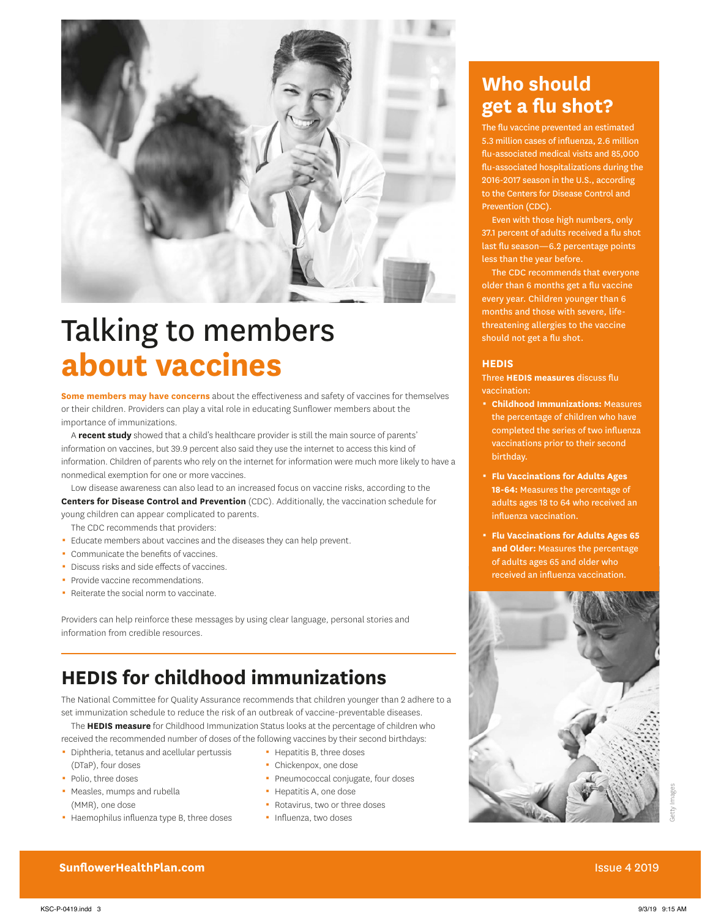

## Talking to members **about vaccines**

**Some members may have concerns** about the effectiveness and safety of vaccines for themselves or their children. Providers can play a vital role in educating Sunflower members about the importance of immunizations.

A **recent study** showed that a child's healthcare provider is still the main source of parents' information on vaccines, but 39.9 percent also said they use the internet to access this kind of information. Children of parents who rely on the internet for information were much more likely to have a nonmedical exemption for one or more vaccines.

Low disease awareness can also lead to an increased focus on vaccine risks, according to the **Centers for Disease Control and Prevention** (CDC). Additionally, the vaccination schedule for young children can appear complicated to parents.

- The CDC recommends that providers:
- 0 Educate members about vaccines and the diseases they can help prevent.
- Communicate the benefits of vaccines.
- Discuss risks and side effects of vaccines.
- Provide vaccine recommendations.
- Reiterate the social norm to vaccinate.

Providers can help reinforce these messages by using clear language, personal stories and information from credible resources.

## **HEDIS for childhood immunizations**

The National Committee for Quality Assurance recommends that children younger than 2 adhere to a set immunization schedule to reduce the risk of an outbreak of vaccine-preventable diseases.

The **HEDIS measure** for Childhood Immunization Status looks at the percentage of children who received the recommended number of doses of the following vaccines by their second birthdays:

- Diphtheria, tetanus and acellular pertussis (DTaP), four doses
- Polio, three doses
- Measles, mumps and rubella (MMR), one dose
- Haemophilus influenza type B, three doses
- Hepatitis B, three doses
- Chickenpox, one dose
- Pneumococcal conjugate, four doses
- Hepatitis A, one dose
- Rotavirus, two or three doses
- · Influenza, two doses

### **Who should get a flu shot?**

The flu vaccine prevented an estimated 5.3 million cases of influenza, 2.6 million flu-associated medical visits and 85,000 flu-associated hospitalizations during the 2016-2017 season in the U.S., according to the Centers for Disease Control and Prevention (CDC).

Even with those high numbers, only 37.1 percent of adults received a flu shot last flu season—6.2 percentage points less than the year before.

The CDC recommends that everyone older than 6 months get a flu vaccine every year. Children younger than 6 months and those with severe, lifethreatening allergies to the vaccine should not get a flu shot.

#### **HEDIS**

Three **HEDIS measures** discuss flu vaccination:

- 0 **Childhood Immunizations:** Measures the percentage of children who have completed the series of two influenza vaccinations prior to their second birthday.
- 0 **Flu Vaccinations for Adults Ages 18-64:** Measures the percentage of adults ages 18 to 64 who received an influenza vaccination.
- 0 **Flu Vaccinations for Adults Ages 65 and Older:** Measures the percentage of adults ages 65 and older who received an influenza vaccination.